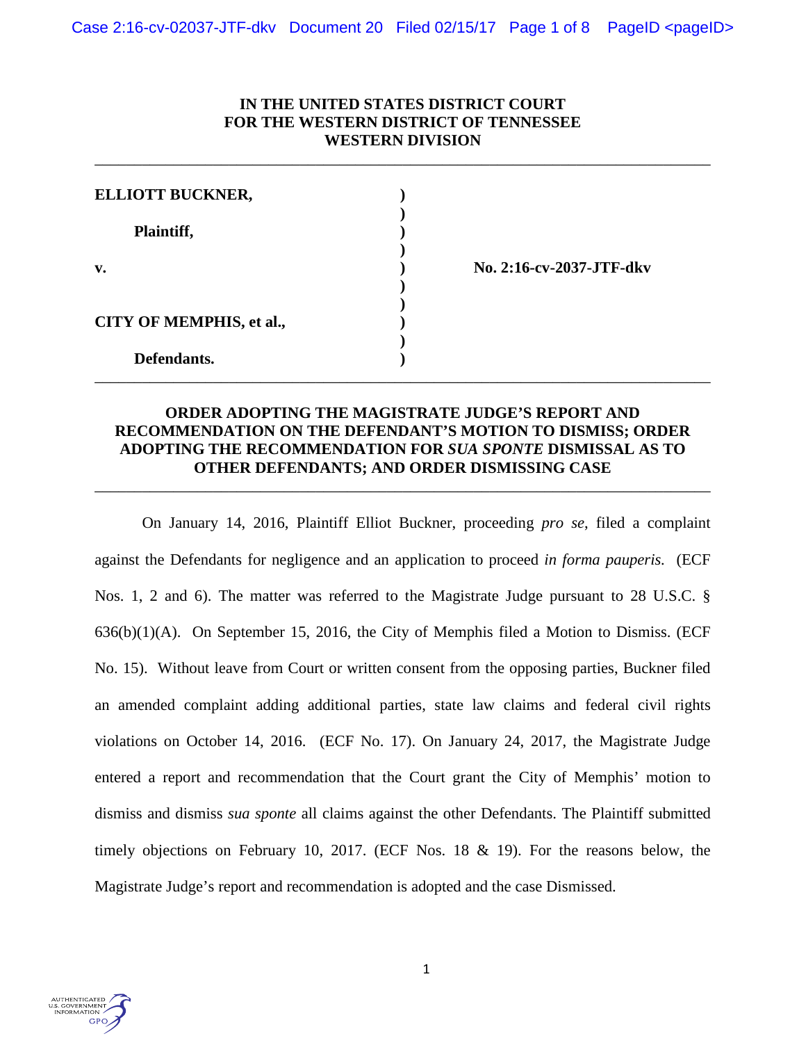# **IN THE UNITED STATES DISTRICT COURT FOR THE WESTERN DISTRICT OF TENNESSEE WESTERN DIVISION**

\_\_\_\_\_\_\_\_\_\_\_\_\_\_\_\_\_\_\_\_\_\_\_\_\_\_\_\_\_\_\_\_\_\_\_\_\_\_\_\_\_\_\_\_\_\_\_\_\_\_\_\_\_\_\_\_\_\_\_\_\_\_\_\_\_\_\_\_\_\_\_\_\_\_\_\_\_\_

| <b>ELLIOTT BUCKNER,</b>  |                          |
|--------------------------|--------------------------|
| Plaintiff,               |                          |
| v.                       | No. 2:16-cv-2037-JTF-dkv |
| CITY OF MEMPHIS, et al., |                          |
| Defendants.              |                          |

# **ORDER ADOPTING THE MAGISTRATE JUDGE'S REPORT AND RECOMMENDATION ON THE DEFENDANT'S MOTION TO DISMISS; ORDER ADOPTING THE RECOMMENDATION FOR** *SUA SPONTE* **DISMISSAL AS TO OTHER DEFENDANTS; AND ORDER DISMISSING CASE**

\_\_\_\_\_\_\_\_\_\_\_\_\_\_\_\_\_\_\_\_\_\_\_\_\_\_\_\_\_\_\_\_\_\_\_\_\_\_\_\_\_\_\_\_\_\_\_\_\_\_\_\_\_\_\_\_\_\_\_\_\_\_\_\_\_\_\_\_\_\_\_\_\_\_\_\_\_\_

On January 14, 2016, Plaintiff Elliot Buckner, proceeding *pro se*, filed a complaint against the Defendants for negligence and an application to proceed *in forma pauperis.* (ECF Nos. 1, 2 and 6). The matter was referred to the Magistrate Judge pursuant to 28 U.S.C. § 636(b)(1)(A). On September 15, 2016, the City of Memphis filed a Motion to Dismiss. (ECF No. 15). Without leave from Court or written consent from the opposing parties, Buckner filed an amended complaint adding additional parties, state law claims and federal civil rights violations on October 14, 2016. (ECF No. 17). On January 24, 2017, the Magistrate Judge entered a report and recommendation that the Court grant the City of Memphis' motion to dismiss and dismiss *sua sponte* all claims against the other Defendants. The Plaintiff submitted timely objections on February 10, 2017. (ECF Nos. 18 & 19). For the reasons below, the Magistrate Judge's report and recommendation is adopted and the case Dismissed.

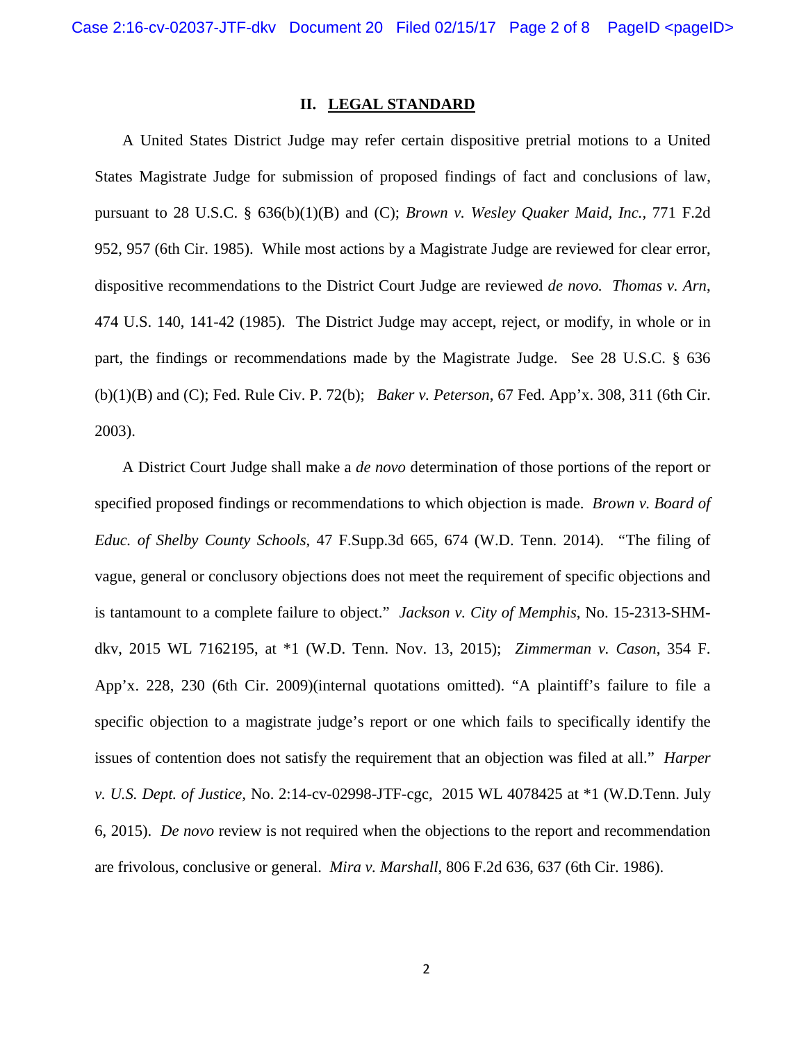# **II. LEGAL STANDARD**

 A United States District Judge may refer certain dispositive pretrial motions to a United States Magistrate Judge for submission of proposed findings of fact and conclusions of law, pursuant to 28 U.S.C. § 636(b)(1)(B) and (C); *Brown v. Wesley Quaker Maid, Inc.,* 771 F.2d 952, 957 (6th Cir. 1985). While most actions by a Magistrate Judge are reviewed for clear error, dispositive recommendations to the District Court Judge are reviewed *de novo. Thomas v. Arn*, 474 U.S. 140, 141-42 (1985). The District Judge may accept, reject, or modify, in whole or in part, the findings or recommendations made by the Magistrate Judge. See 28 U.S.C. § 636 (b)(1)(B) and (C); Fed. Rule Civ. P. 72(b); *Baker v. Peterson*, 67 Fed. App'x. 308, 311 (6th Cir. 2003).

A District Court Judge shall make a *de novo* determination of those portions of the report or specified proposed findings or recommendations to which objection is made. *Brown v. Board of Educ. of Shelby County Schools*, 47 F.Supp.3d 665, 674 (W.D. Tenn. 2014). *"*The filing of vague, general or conclusory objections does not meet the requirement of specific objections and is tantamount to a complete failure to object." *Jackson v. City of Memphis*, No. 15-2313-SHMdkv, 2015 WL 7162195, at \*1 (W.D. Tenn. Nov. 13, 2015); *Zimmerman v. Cason*, 354 F. App'x. 228, 230 (6th Cir. 2009)(internal quotations omitted). "A plaintiff's failure to file a specific objection to a magistrate judge's report or one which fails to specifically identify the issues of contention does not satisfy the requirement that an objection was filed at all." *Harper v. U.S. Dept. of Justice,* No. 2:14-cv-02998-JTF-cgc, 2015 WL 4078425 at \*1 (W.D.Tenn. July 6, 2015). *De novo* review is not required when the objections to the report and recommendation are frivolous, conclusive or general. *Mira v. Marshall*, 806 F.2d 636, 637 (6th Cir. 1986).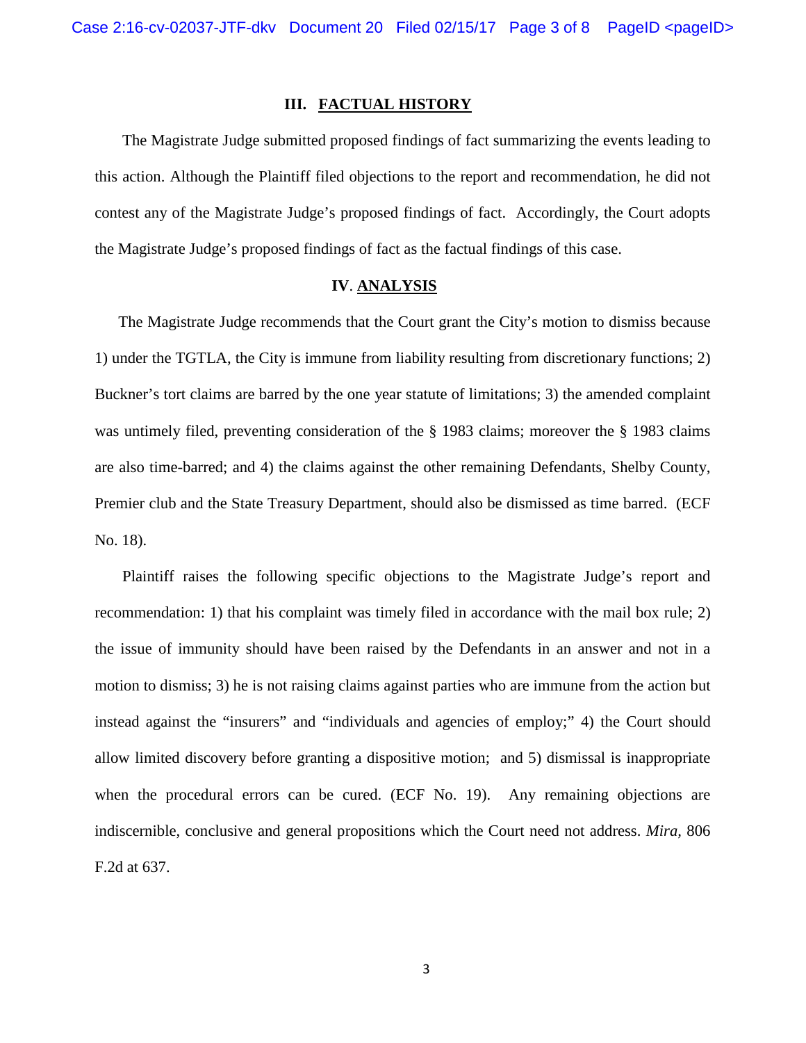## **III. FACTUAL HISTORY**

 The Magistrate Judge submitted proposed findings of fact summarizing the events leading to this action. Although the Plaintiff filed objections to the report and recommendation, he did not contest any of the Magistrate Judge's proposed findings of fact. Accordingly, the Court adopts the Magistrate Judge's proposed findings of fact as the factual findings of this case.

### **IV**. **ANALYSIS**

 The Magistrate Judge recommends that the Court grant the City's motion to dismiss because 1) under the TGTLA, the City is immune from liability resulting from discretionary functions; 2) Buckner's tort claims are barred by the one year statute of limitations; 3) the amended complaint was untimely filed, preventing consideration of the § 1983 claims; moreover the § 1983 claims are also time-barred; and 4) the claims against the other remaining Defendants, Shelby County, Premier club and the State Treasury Department, should also be dismissed as time barred. (ECF No. 18).

 Plaintiff raises the following specific objections to the Magistrate Judge's report and recommendation: 1) that his complaint was timely filed in accordance with the mail box rule; 2) the issue of immunity should have been raised by the Defendants in an answer and not in a motion to dismiss; 3) he is not raising claims against parties who are immune from the action but instead against the "insurers" and "individuals and agencies of employ;" 4) the Court should allow limited discovery before granting a dispositive motion; and 5) dismissal is inappropriate when the procedural errors can be cured. (ECF No. 19). Any remaining objections are indiscernible, conclusive and general propositions which the Court need not address. *Mira,* 806 F.2d at 637.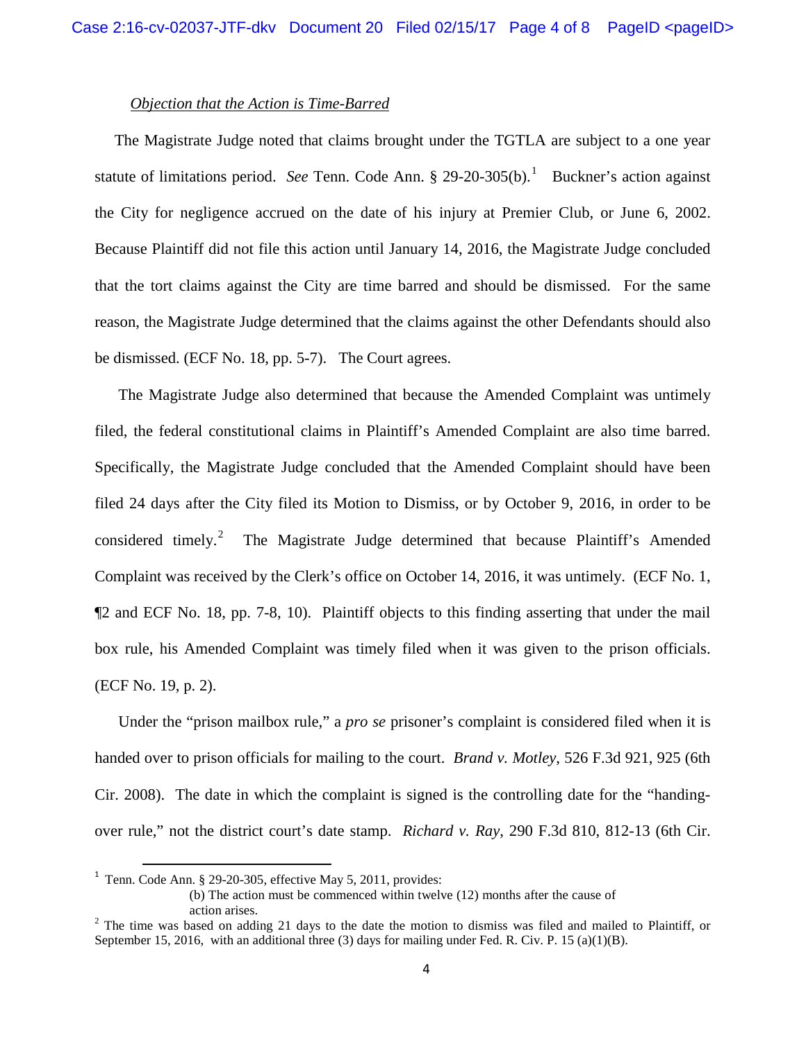# *Objection that the Action is Time-Barred*

 The Magistrate Judge noted that claims brought under the TGTLA are subject to a one year statute of limitations period. See Tenn. Code Ann. § 29-20-305(b).<sup>[1](#page-3-0)</sup> Buckner's action against the City for negligence accrued on the date of his injury at Premier Club, or June 6, 2002. Because Plaintiff did not file this action until January 14, 2016, the Magistrate Judge concluded that the tort claims against the City are time barred and should be dismissed. For the same reason, the Magistrate Judge determined that the claims against the other Defendants should also be dismissed. (ECF No. 18, pp. 5-7). The Court agrees.

 The Magistrate Judge also determined that because the Amended Complaint was untimely filed, the federal constitutional claims in Plaintiff's Amended Complaint are also time barred. Specifically, the Magistrate Judge concluded that the Amended Complaint should have been filed 24 days after the City filed its Motion to Dismiss, or by October 9, 2016, in order to be considered timely.<sup>[2](#page-3-1)</sup> The Magistrate Judge determined that because Plaintiff's Amended Complaint was received by the Clerk's office on October 14, 2016, it was untimely. (ECF No. 1, ¶2 and ECF No. 18, pp. 7-8, 10). Plaintiff objects to this finding asserting that under the mail box rule, his Amended Complaint was timely filed when it was given to the prison officials. (ECF No. 19, p. 2).

 Under the "prison mailbox rule," a *pro se* prisoner's complaint is considered filed when it is handed over to prison officials for mailing to the court. *Brand v. Motley*, 526 F.3d 921, 925 (6th Cir. 2008). The date in which the complaint is signed is the controlling date for the "handingover rule," not the district court's date stamp. *Richard v. Ray*, 290 F.3d 810, 812-13 (6th Cir.

<span id="page-3-0"></span><sup>&</sup>lt;sup>1</sup> Tenn. Code Ann. § 29-20-305, effective May 5, 2011, provides:

<sup>(</sup>b) The action must be commenced within twelve (12) months after the cause of

<span id="page-3-1"></span>action arises.<br><sup>2</sup> The time was based on adding 21 days to the date the motion to dismiss was filed and mailed to Plaintiff, or September 15, 2016, with an additional three (3) days for mailing under Fed. R. Civ. P. 15 (a)(1)(B).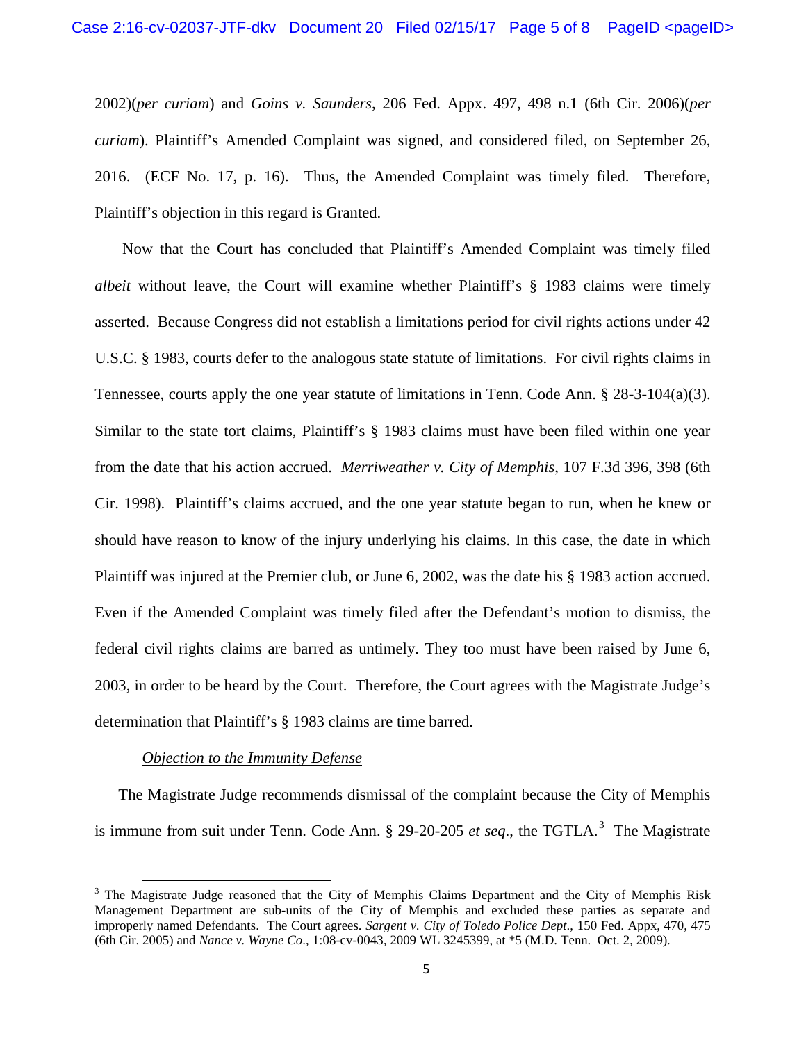2002)(*per curiam*) and *Goins v. Saunders*, 206 Fed. Appx. 497, 498 n.1 (6th Cir. 2006)(*per curiam*). Plaintiff's Amended Complaint was signed, and considered filed, on September 26, 2016. (ECF No. 17, p. 16). Thus, the Amended Complaint was timely filed. Therefore, Plaintiff's objection in this regard is Granted.

 Now that the Court has concluded that Plaintiff's Amended Complaint was timely filed *albeit* without leave, the Court will examine whether Plaintiff's § 1983 claims were timely asserted. Because Congress did not establish a limitations period for civil rights actions under 42 U.S.C. § 1983, courts defer to the analogous state statute of limitations. For civil rights claims in Tennessee, courts apply the one year statute of limitations in Tenn. Code Ann. § 28-3-104(a)(3). Similar to the state tort claims, Plaintiff's § 1983 claims must have been filed within one year from the date that his action accrued. *Merriweather v. City of Memphis*, 107 F.3d 396, 398 (6th Cir. 1998). Plaintiff's claims accrued, and the one year statute began to run, when he knew or should have reason to know of the injury underlying his claims. In this case, the date in which Plaintiff was injured at the Premier club, or June 6, 2002, was the date his § 1983 action accrued. Even if the Amended Complaint was timely filed after the Defendant's motion to dismiss, the federal civil rights claims are barred as untimely. They too must have been raised by June 6, 2003, in order to be heard by the Court. Therefore, the Court agrees with the Magistrate Judge's determination that Plaintiff's § 1983 claims are time barred.

#### *Objection to the Immunity Defense*

 The Magistrate Judge recommends dismissal of the complaint because the City of Memphis is immune from suit under Tenn. Code Ann.  $\S$  29-20-205 *et seq.*, the TGTLA.<sup>[3](#page-4-0)</sup> The Magistrate

<span id="page-4-0"></span><sup>&</sup>lt;sup>3</sup> The Magistrate Judge reasoned that the City of Memphis Claims Department and the City of Memphis Risk Management Department are sub-units of the City of Memphis and excluded these parties as separate and improperly named Defendants. The Court agrees. *Sargent v. City of Toledo Police Dept*., 150 Fed. Appx, 470, 475 (6th Cir. 2005) and *Nance v. Wayne Co*., 1:08-cv-0043, 2009 WL 3245399, at \*5 (M.D. Tenn. Oct. 2, 2009).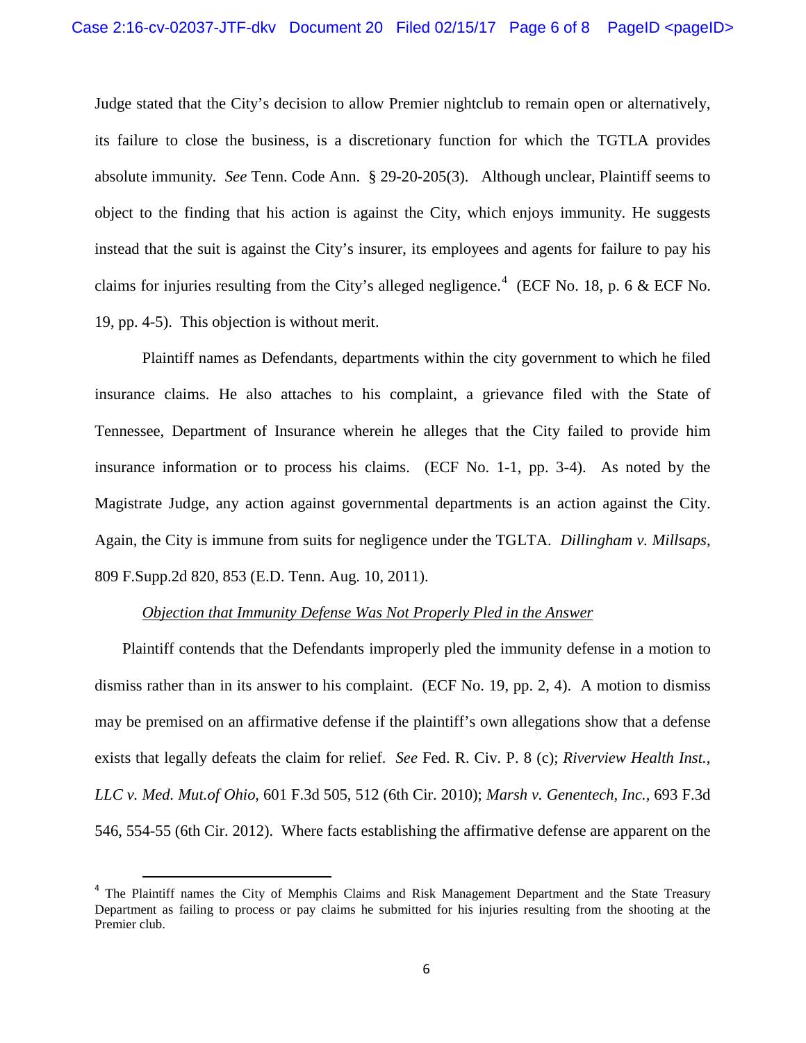Judge stated that the City's decision to allow Premier nightclub to remain open or alternatively, its failure to close the business, is a discretionary function for which the TGTLA provides absolute immunity*. See* Tenn. Code Ann. § 29-20-205(3). Although unclear, Plaintiff seems to object to the finding that his action is against the City, which enjoys immunity. He suggests instead that the suit is against the City's insurer, its employees and agents for failure to pay his claims for injuries resulting from the City's alleged negligence.<sup>[4](#page-5-0)</sup> (ECF No. 18, p. 6 & ECF No. 19, pp. 4-5). This objection is without merit.

Plaintiff names as Defendants, departments within the city government to which he filed insurance claims. He also attaches to his complaint, a grievance filed with the State of Tennessee, Department of Insurance wherein he alleges that the City failed to provide him insurance information or to process his claims. (ECF No. 1-1, pp. 3-4). As noted by the Magistrate Judge, any action against governmental departments is an action against the City. Again, the City is immune from suits for negligence under the TGLTA. *Dillingham v. Millsaps*, 809 F.Supp.2d 820, 853 (E.D. Tenn. Aug. 10, 2011).

#### *Objection that Immunity Defense Was Not Properly Pled in the Answer*

 Plaintiff contends that the Defendants improperly pled the immunity defense in a motion to dismiss rather than in its answer to his complaint. (ECF No. 19, pp. 2, 4). A motion to dismiss may be premised on an affirmative defense if the plaintiff's own allegations show that a defense exists that legally defeats the claim for relief. *See* Fed. R. Civ. P. 8 (c); *Riverview Health Inst.*, *LLC v. Med. Mut.of Ohio*, 601 F.3d 505, 512 (6th Cir. 2010); *Marsh v. Genentech, Inc.,* 693 F.3d 546, 554-55 (6th Cir. 2012). Where facts establishing the affirmative defense are apparent on the

<span id="page-5-0"></span> <sup>4</sup> The Plaintiff names the City of Memphis Claims and Risk Management Department and the State Treasury Department as failing to process or pay claims he submitted for his injuries resulting from the shooting at the Premier club.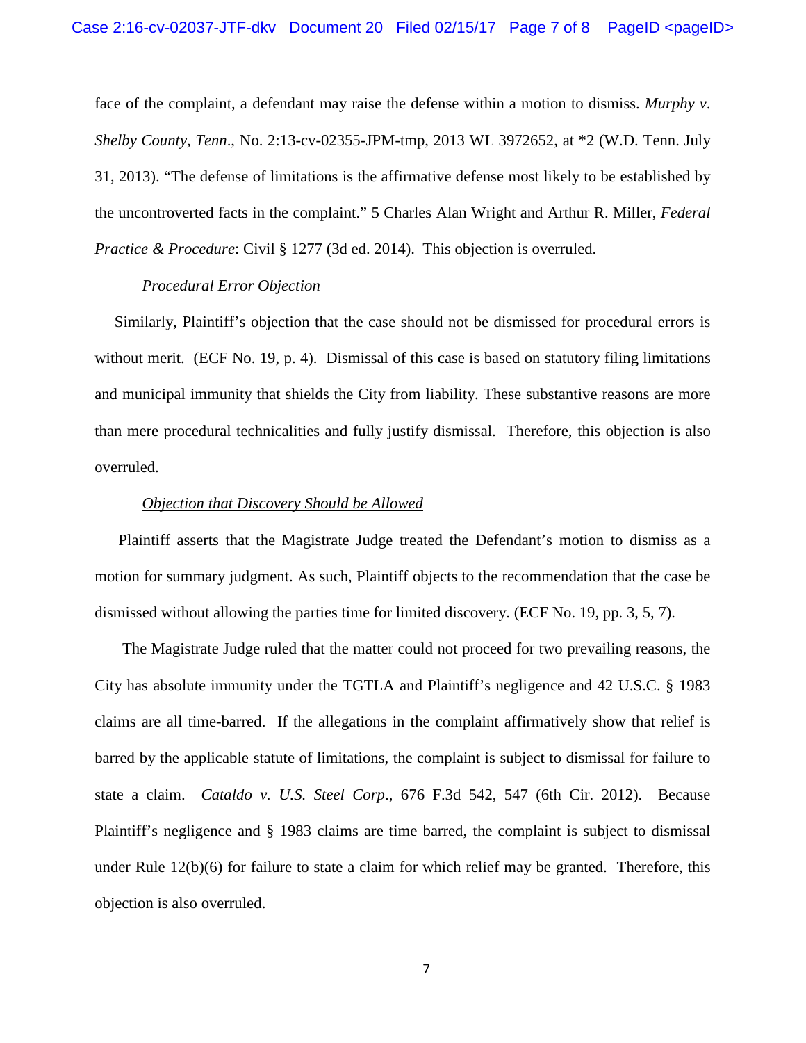face of the complaint, a defendant may raise the defense within a motion to dismiss. *Murphy v*. *Shelby County, Tenn*., No. 2:13-cv-02355-JPM-tmp, 2013 WL 3972652, at \*2 (W.D. Tenn. July 31, 2013). "The defense of limitations is the affirmative defense most likely to be established by the uncontroverted facts in the complaint." 5 Charles Alan Wright and Arthur R. Miller, *Federal Practice & Procedure*: Civil § 1277 (3d ed. 2014). This objection is overruled.

## *Procedural Error Objection*

 Similarly, Plaintiff's objection that the case should not be dismissed for procedural errors is without merit. (ECF No. 19, p. 4). Dismissal of this case is based on statutory filing limitations and municipal immunity that shields the City from liability. These substantive reasons are more than mere procedural technicalities and fully justify dismissal. Therefore, this objection is also overruled.

## *Objection that Discovery Should be Allowed*

 Plaintiff asserts that the Magistrate Judge treated the Defendant's motion to dismiss as a motion for summary judgment. As such, Plaintiff objects to the recommendation that the case be dismissed without allowing the parties time for limited discovery. (ECF No. 19, pp. 3, 5, 7).

 The Magistrate Judge ruled that the matter could not proceed for two prevailing reasons, the City has absolute immunity under the TGTLA and Plaintiff's negligence and 42 U.S.C. § 1983 claims are all time-barred. If the allegations in the complaint affirmatively show that relief is barred by the applicable statute of limitations, the complaint is subject to dismissal for failure to state a claim. *Cataldo v. U.S. Steel Corp*., 676 F.3d 542, 547 (6th Cir. 2012). Because Plaintiff's negligence and § 1983 claims are time barred, the complaint is subject to dismissal under Rule 12(b)(6) for failure to state a claim for which relief may be granted. Therefore, this objection is also overruled.